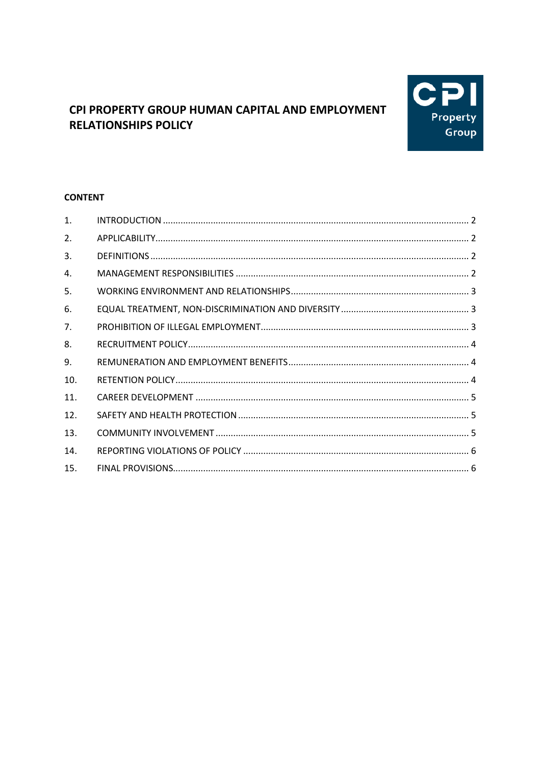

# CPI PROPERTY GROUP HUMAN CAPITAL AND EMPLOYMENT **RELATIONSHIPS POLICY**

## **CONTENT**

| 1.  |  |
|-----|--|
| 2.  |  |
| 3.  |  |
| 4.  |  |
| 5.  |  |
| 6.  |  |
| 7.  |  |
| 8.  |  |
| 9.  |  |
| 10. |  |
| 11. |  |
| 12. |  |
| 13. |  |
| 14. |  |
| 15. |  |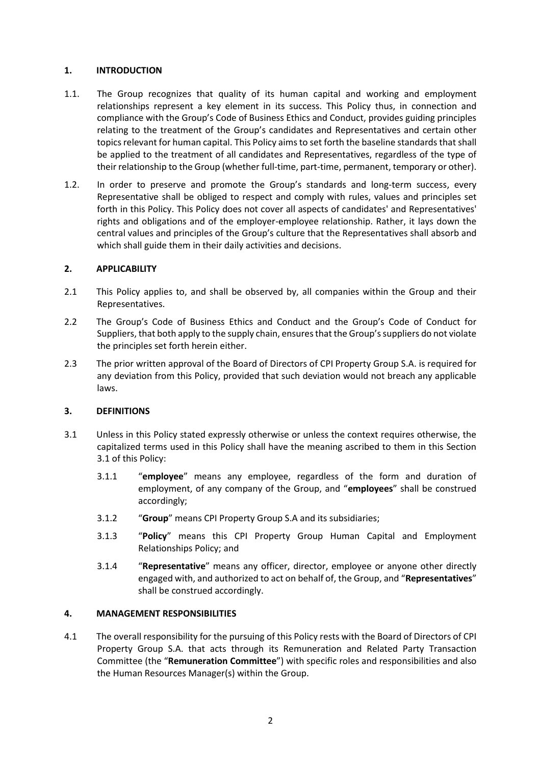## <span id="page-1-0"></span>**1. INTRODUCTION**

- 1.1. The Group recognizes that quality of its human capital and working and employment relationships represent a key element in its success. This Policy thus, in connection and compliance with the Group's Code of Business Ethics and Conduct, provides guiding principles relating to the treatment of the Group's candidates and Representatives and certain other topics relevant for human capital. This Policy aims to set forth the baseline standards that shall be applied to the treatment of all candidates and Representatives, regardless of the type of their relationship to the Group (whether full-time, part-time, permanent, temporary or other).
- 1.2. In order to preserve and promote the Group's standards and long-term success, every Representative shall be obliged to respect and comply with rules, values and principles set forth in this Policy. This Policy does not cover all aspects of candidates' and Representatives' rights and obligations and of the employer-employee relationship. Rather, it lays down the central values and principles of the Group's culture that the Representatives shall absorb and which shall guide them in their daily activities and decisions.

## <span id="page-1-1"></span>**2. APPLICABILITY**

- 2.1 This Policy applies to, and shall be observed by, all companies within the Group and their Representatives.
- 2.2 The Group's Code of Business Ethics and Conduct and the Group's Code of Conduct for Suppliers, that both apply to the supply chain, ensures that the Group's suppliers do not violate the principles set forth herein either.
- 2.3 The prior written approval of the Board of Directors of CPI Property Group S.A. is required for any deviation from this Policy, provided that such deviation would not breach any applicable laws.

## <span id="page-1-2"></span>**3. DEFINITIONS**

- <span id="page-1-4"></span>3.1 Unless in this Policy stated expressly otherwise or unless the context requires otherwise, the capitalized terms used in this Policy shall have the meaning ascribed to them in this Section [3.1](#page-1-4) of this Policy:
	- 3.1.1 "**employee**" means any employee, regardless of the form and duration of employment, of any company of the Group, and "**employees**" shall be construed accordingly;
	- 3.1.2 "**Group**" means CPI Property Group S.A and its subsidiaries;
	- 3.1.3 "**Policy**" means this CPI Property Group Human Capital and Employment Relationships Policy; and
	- 3.1.4 "**Representative**" means any officer, director, employee or anyone other directly engaged with, and authorized to act on behalf of, the Group, and "**Representatives**" shall be construed accordingly.

## <span id="page-1-3"></span>**4. MANAGEMENT RESPONSIBILITIES**

4.1 The overall responsibility for the pursuing of this Policy rests with the Board of Directors of CPI Property Group S.A. that acts through its Remuneration and Related Party Transaction Committee (the "**Remuneration Committee**") with specific roles and responsibilities and also the Human Resources Manager(s) within the Group.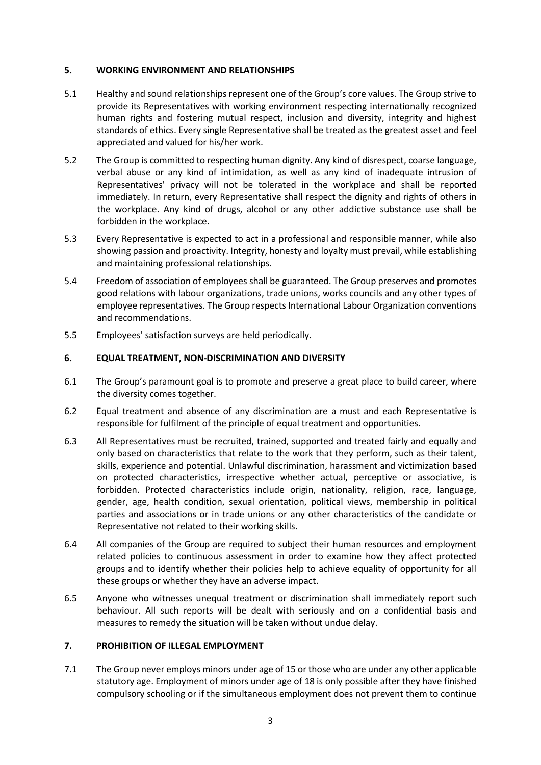## <span id="page-2-0"></span>**5. WORKING ENVIRONMENT AND RELATIONSHIPS**

- 5.1 Healthy and sound relationships represent one of the Group's core values. The Group strive to provide its Representatives with working environment respecting internationally recognized human rights and fostering mutual respect, inclusion and diversity, integrity and highest standards of ethics. Every single Representative shall be treated as the greatest asset and feel appreciated and valued for his/her work.
- 5.2 The Group is committed to respecting human dignity. Any kind of disrespect, coarse language, verbal abuse or any kind of intimidation, as well as any kind of inadequate intrusion of Representatives' privacy will not be tolerated in the workplace and shall be reported immediately. In return, every Representative shall respect the dignity and rights of others in the workplace. Any kind of drugs, alcohol or any other addictive substance use shall be forbidden in the workplace.
- 5.3 Every Representative is expected to act in a professional and responsible manner, while also showing passion and proactivity. Integrity, honesty and loyalty must prevail, while establishing and maintaining professional relationships.
- 5.4 Freedom of association of employees shall be guaranteed. The Group preserves and promotes good relations with labour organizations, trade unions, works councils and any other types of employee representatives. The Group respects International Labour Organization conventions and recommendations.
- 5.5 Employees' satisfaction surveys are held periodically.

## <span id="page-2-1"></span>**6. EQUAL TREATMENT, NON-DISCRIMINATION AND DIVERSITY**

- 6.1 The Group's paramount goal is to promote and preserve a great place to build career, where the diversity comes together.
- 6.2 Equal treatment and absence of any discrimination are a must and each Representative is responsible for fulfilment of the principle of equal treatment and opportunities.
- 6.3 All Representatives must be recruited, trained, supported and treated fairly and equally and only based on characteristics that relate to the work that they perform, such as their talent, skills, experience and potential. Unlawful discrimination, harassment and victimization based on protected characteristics, irrespective whether actual, perceptive or associative, is forbidden. Protected characteristics include origin, nationality, religion, race, language, gender, age, health condition, sexual orientation, political views, membership in political parties and associations or in trade unions or any other characteristics of the candidate or Representative not related to their working skills.
- 6.4 All companies of the Group are required to subject their human resources and employment related policies to continuous assessment in order to examine how they affect protected groups and to identify whether their policies help to achieve equality of opportunity for all these groups or whether they have an adverse impact.
- 6.5 Anyone who witnesses unequal treatment or discrimination shall immediately report such behaviour. All such reports will be dealt with seriously and on a confidential basis and measures to remedy the situation will be taken without undue delay.

## <span id="page-2-2"></span>**7. PROHIBITION OF ILLEGAL EMPLOYMENT**

7.1 The Group never employs minors under age of 15 or those who are under any other applicable statutory age. Employment of minors under age of 18 is only possible after they have finished compulsory schooling or if the simultaneous employment does not prevent them to continue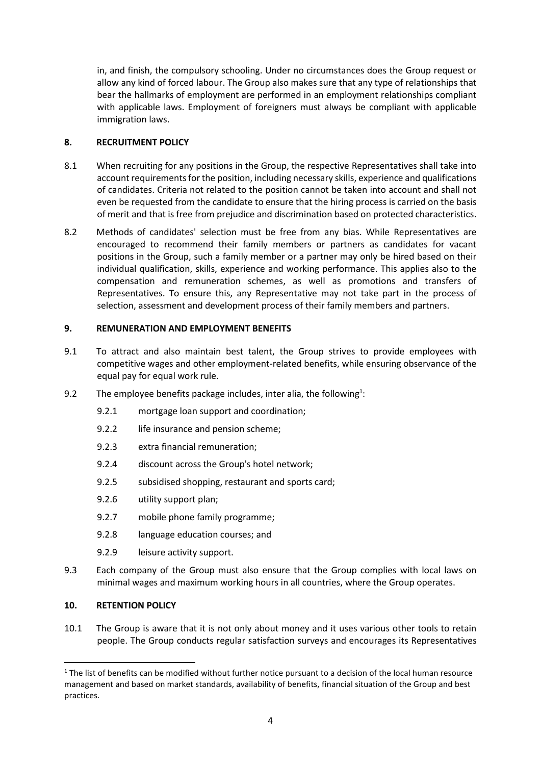in, and finish, the compulsory schooling. Under no circumstances does the Group request or allow any kind of forced labour. The Group also makes sure that any type of relationships that bear the hallmarks of employment are performed in an employment relationships compliant with applicable laws. Employment of foreigners must always be compliant with applicable immigration laws.

## <span id="page-3-0"></span>**8. RECRUITMENT POLICY**

- 8.1 When recruiting for any positions in the Group, the respective Representatives shall take into account requirements for the position, including necessary skills, experience and qualifications of candidates. Criteria not related to the position cannot be taken into account and shall not even be requested from the candidate to ensure that the hiring process is carried on the basis of merit and that is free from prejudice and discrimination based on protected characteristics.
- 8.2 Methods of candidates' selection must be free from any bias. While Representatives are encouraged to recommend their family members or partners as candidates for vacant positions in the Group, such a family member or a partner may only be hired based on their individual qualification, skills, experience and working performance. This applies also to the compensation and remuneration schemes, as well as promotions and transfers of Representatives. To ensure this, any Representative may not take part in the process of selection, assessment and development process of their family members and partners.

## <span id="page-3-1"></span>**9. REMUNERATION AND EMPLOYMENT BENEFITS**

- 9.1 To attract and also maintain best talent, the Group strives to provide employees with competitive wages and other employment-related benefits, while ensuring observance of the equal pay for equal work rule.
- 9.2 The employee benefits package includes, inter alia, the following<sup>1</sup>:
	- 9.2.1 mortgage loan support and coordination;
	- 9.2.2 life insurance and pension scheme;
	- 9.2.3 extra financial remuneration;
	- 9.2.4 discount across the Group's hotel network;
	- 9.2.5 subsidised shopping, restaurant and sports card;
	- 9.2.6 utility support plan;
	- 9.2.7 mobile phone family programme;
	- 9.2.8 language education courses; and
	- 9.2.9 leisure activity support.
- 9.3 Each company of the Group must also ensure that the Group complies with local laws on minimal wages and maximum working hours in all countries, where the Group operates.

## <span id="page-3-2"></span>**10. RETENTION POLICY**

**.** 

10.1 The Group is aware that it is not only about money and it uses various other tools to retain people. The Group conducts regular satisfaction surveys and encourages its Representatives

 $1$  The list of benefits can be modified without further notice pursuant to a decision of the local human resource management and based on market standards, availability of benefits, financial situation of the Group and best practices.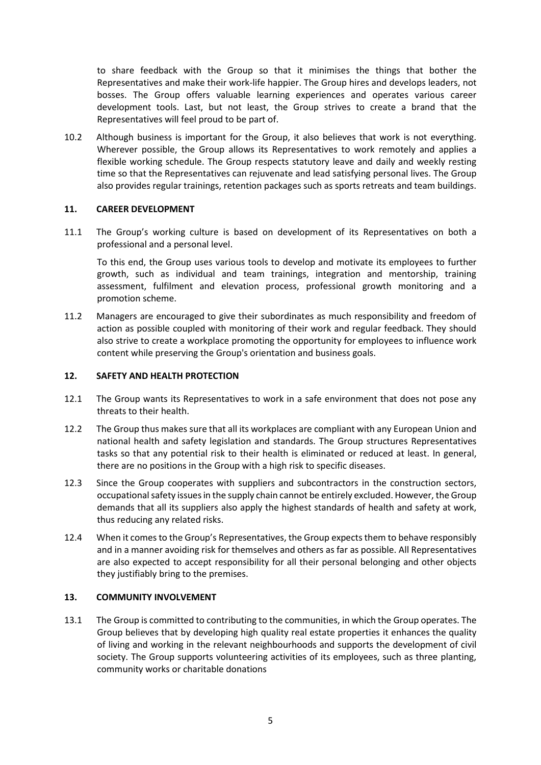to share feedback with the Group so that it minimises the things that bother the Representatives and make their work-life happier. The Group hires and develops leaders, not bosses. The Group offers valuable learning experiences and operates various career development tools. Last, but not least, the Group strives to create a brand that the Representatives will feel proud to be part of.

10.2 Although business is important for the Group, it also believes that work is not everything. Wherever possible, the Group allows its Representatives to work remotely and applies a flexible working schedule. The Group respects statutory leave and daily and weekly resting time so that the Representatives can rejuvenate and lead satisfying personal lives. The Group also provides regular trainings, retention packages such as sports retreats and team buildings.

## <span id="page-4-0"></span>**11. CAREER DEVELOPMENT**

11.1 The Group's working culture is based on development of its Representatives on both a professional and a personal level.

To this end, the Group uses various tools to develop and motivate its employees to further growth, such as individual and team trainings, integration and mentorship, training assessment, fulfilment and elevation process, professional growth monitoring and a promotion scheme.

11.2 Managers are encouraged to give their subordinates as much responsibility and freedom of action as possible coupled with monitoring of their work and regular feedback. They should also strive to create a workplace promoting the opportunity for employees to influence work content while preserving the Group's orientation and business goals.

#### <span id="page-4-1"></span>**12. SAFETY AND HEALTH PROTECTION**

- 12.1 The Group wants its Representatives to work in a safe environment that does not pose any threats to their health.
- 12.2 The Group thus makes sure that all its workplaces are compliant with any European Union and national health and safety legislation and standards. The Group structures Representatives tasks so that any potential risk to their health is eliminated or reduced at least. In general, there are no positions in the Group with a high risk to specific diseases.
- 12.3 Since the Group cooperates with suppliers and subcontractors in the construction sectors, occupational safety issues in the supply chain cannot be entirely excluded. However, the Group demands that all its suppliers also apply the highest standards of health and safety at work, thus reducing any related risks.
- 12.4 When it comes to the Group's Representatives, the Group expects them to behave responsibly and in a manner avoiding risk for themselves and others as far as possible. All Representatives are also expected to accept responsibility for all their personal belonging and other objects they justifiably bring to the premises.

## <span id="page-4-2"></span>**13. COMMUNITY INVOLVEMENT**

13.1 The Group is committed to contributing to the communities, in which the Group operates. The Group believes that by developing high quality real estate properties it enhances the quality of living and working in the relevant neighbourhoods and supports the development of civil society. The Group supports volunteering activities of its employees, such as three planting, community works or charitable donations